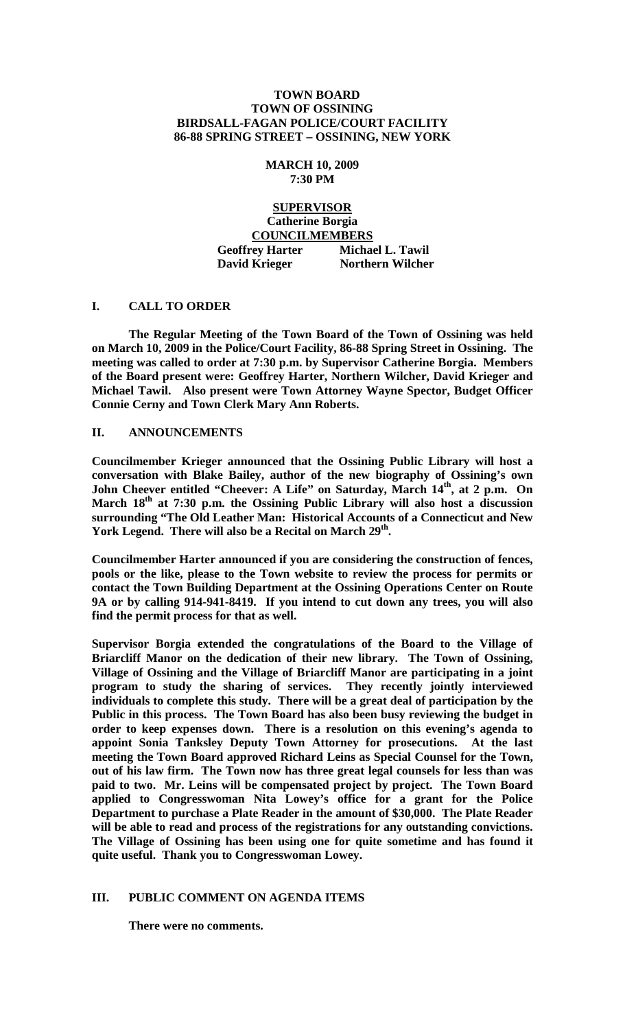### **TOWN BOARD TOWN OF OSSINING BIRDSALL-FAGAN POLICE/COURT FACILITY 86-88 SPRING STREET – OSSINING, NEW YORK**

## **MARCH 10, 2009 7:30 PM**

# **SUPERVISOR Catherine Borgia COUNCILMEMBERS Geoffrey Harter Michael L. Tawil David Krieger Northern Wilcher**

## **I. CALL TO ORDER**

**The Regular Meeting of the Town Board of the Town of Ossining was held on March 10, 2009 in the Police/Court Facility, 86-88 Spring Street in Ossining. The meeting was called to order at 7:30 p.m. by Supervisor Catherine Borgia. Members of the Board present were: Geoffrey Harter, Northern Wilcher, David Krieger and Michael Tawil. Also present were Town Attorney Wayne Spector, Budget Officer Connie Cerny and Town Clerk Mary Ann Roberts.**

## **II. ANNOUNCEMENTS**

**Councilmember Krieger announced that the Ossining Public Library will host a conversation with Blake Bailey, author of the new biography of Ossining's own John Cheever entitled "Cheever: A Life" on Saturday, March 14th, at 2 p.m. On March 18th at 7:30 p.m. the Ossining Public Library will also host a discussion surrounding "The Old Leather Man: Historical Accounts of a Connecticut and New York Legend. There will also be a Recital on March 29th.**

**Councilmember Harter announced if you are considering the construction of fences, pools or the like, please to the Town website to review the process for permits or contact the Town Building Department at the Ossining Operations Center on Route 9A or by calling 914-941-8419. If you intend to cut down any trees, you will also find the permit process for that as well.**

**Supervisor Borgia extended the congratulations of the Board to the Village of Briarcliff Manor on the dedication of their new library. The Town of Ossining, Village of Ossining and the Village of Briarcliff Manor are participating in a joint program to study the sharing of services. They recently jointly interviewed individuals to complete this study. There will be a great deal of participation by the Public in this process. The Town Board has also been busy reviewing the budget in order to keep expenses down. There is a resolution on this evening's agenda to appoint Sonia Tanksley Deputy Town Attorney for prosecutions. At the last meeting the Town Board approved Richard Leins as Special Counsel for the Town, out of his law firm. The Town now has three great legal counsels for less than was paid to two. Mr. Leins will be compensated project by project. The Town Board applied to Congresswoman Nita Lowey's office for a grant for the Police Department to purchase a Plate Reader in the amount of \$30,000. The Plate Reader will be able to read and process of the registrations for any outstanding convictions. The Village of Ossining has been using one for quite sometime and has found it quite useful. Thank you to Congresswoman Lowey.**

## **III. PUBLIC COMMENT ON AGENDA ITEMS**

**There were no comments.**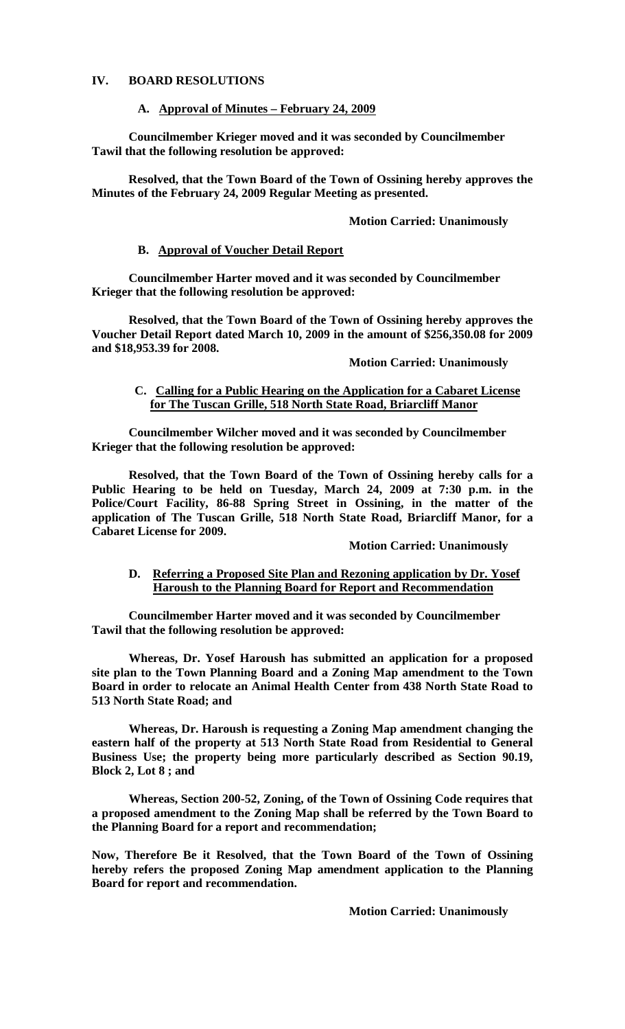### **IV. BOARD RESOLUTIONS**

#### **A. Approval of Minutes – February 24, 2009**

**Councilmember Krieger moved and it was seconded by Councilmember Tawil that the following resolution be approved:**

**Resolved, that the Town Board of the Town of Ossining hereby approves the Minutes of the February 24, 2009 Regular Meeting as presented.**

#### **Motion Carried: Unanimously**

#### **B. Approval of Voucher Detail Report**

**Councilmember Harter moved and it was seconded by Councilmember Krieger that the following resolution be approved:**

**Resolved, that the Town Board of the Town of Ossining hereby approves the Voucher Detail Report dated March 10, 2009 in the amount of \$256,350.08 for 2009 and \$18,953.39 for 2008.**

### **Motion Carried: Unanimously**

### **C. Calling for a Public Hearing on the Application for a Cabaret License for The Tuscan Grille, 518 North State Road, Briarcliff Manor**

**Councilmember Wilcher moved and it was seconded by Councilmember Krieger that the following resolution be approved:**

**Resolved, that the Town Board of the Town of Ossining hereby calls for a Public Hearing to be held on Tuesday, March 24, 2009 at 7:30 p.m. in the Police/Court Facility, 86-88 Spring Street in Ossining, in the matter of the application of The Tuscan Grille, 518 North State Road, Briarcliff Manor, for a Cabaret License for 2009.**

**Motion Carried: Unanimously**

### **D. Referring a Proposed Site Plan and Rezoning application by Dr. Yosef Haroush to the Planning Board for Report and Recommendation**

**Councilmember Harter moved and it was seconded by Councilmember Tawil that the following resolution be approved:**

**Whereas, Dr. Yosef Haroush has submitted an application for a proposed site plan to the Town Planning Board and a Zoning Map amendment to the Town Board in order to relocate an Animal Health Center from 438 North State Road to 513 North State Road; and**

**Whereas, Dr. Haroush is requesting a Zoning Map amendment changing the eastern half of the property at 513 North State Road from Residential to General Business Use; the property being more particularly described as Section 90.19, Block 2, Lot 8 ; and**

**Whereas, Section 200-52, Zoning, of the Town of Ossining Code requires that a proposed amendment to the Zoning Map shall be referred by the Town Board to the Planning Board for a report and recommendation;**

**Now, Therefore Be it Resolved, that the Town Board of the Town of Ossining hereby refers the proposed Zoning Map amendment application to the Planning Board for report and recommendation.**

**Motion Carried: Unanimously**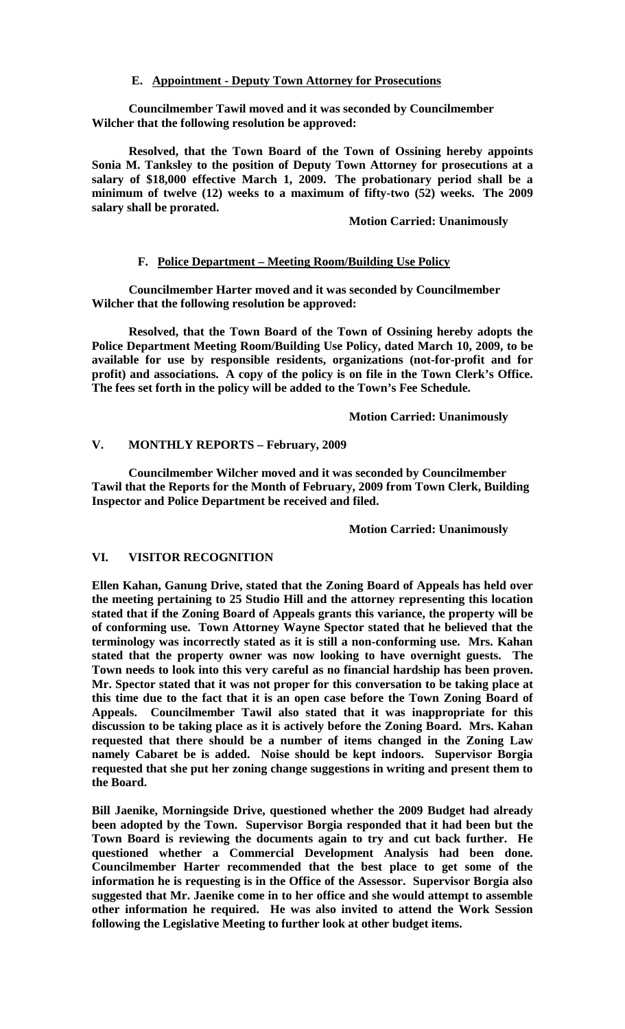### **E. Appointment - Deputy Town Attorney for Prosecutions**

**Councilmember Tawil moved and it was seconded by Councilmember Wilcher that the following resolution be approved:**

**Resolved, that the Town Board of the Town of Ossining hereby appoints Sonia M. Tanksley to the position of Deputy Town Attorney for prosecutions at a salary of \$18,000 effective March 1, 2009. The probationary period shall be a minimum of twelve (12) weeks to a maximum of fifty-two (52) weeks. The 2009 salary shall be prorated.**

#### **Motion Carried: Unanimously**

### **F. Police Department – Meeting Room/Building Use Policy**

**Councilmember Harter moved and it was seconded by Councilmember Wilcher that the following resolution be approved:**

**Resolved, that the Town Board of the Town of Ossining hereby adopts the Police Department Meeting Room/Building Use Policy, dated March 10, 2009, to be available for use by responsible residents, organizations (not-for-profit and for profit) and associations. A copy of the policy is on file in the Town Clerk's Office. The fees set forth in the policy will be added to the Town's Fee Schedule.**

**Motion Carried: Unanimously**

### **V. MONTHLY REPORTS – February, 2009**

**Councilmember Wilcher moved and it was seconded by Councilmember Tawil that the Reports for the Month of February, 2009 from Town Clerk, Building Inspector and Police Department be received and filed.**

### **Motion Carried: Unanimously**

### **VI. VISITOR RECOGNITION**

**Ellen Kahan, Ganung Drive, stated that the Zoning Board of Appeals has held over the meeting pertaining to 25 Studio Hill and the attorney representing this location stated that if the Zoning Board of Appeals grants this variance, the property will be of conforming use. Town Attorney Wayne Spector stated that he believed that the terminology was incorrectly stated as it is still a non-conforming use. Mrs. Kahan stated that the property owner was now looking to have overnight guests. The Town needs to look into this very careful as no financial hardship has been proven. Mr. Spector stated that it was not proper for this conversation to be taking place at this time due to the fact that it is an open case before the Town Zoning Board of Appeals. Councilmember Tawil also stated that it was inappropriate for this discussion to be taking place as it is actively before the Zoning Board. Mrs. Kahan requested that there should be a number of items changed in the Zoning Law namely Cabaret be is added. Noise should be kept indoors. Supervisor Borgia requested that she put her zoning change suggestions in writing and present them to the Board.**

**Bill Jaenike, Morningside Drive, questioned whether the 2009 Budget had already been adopted by the Town. Supervisor Borgia responded that it had been but the Town Board is reviewing the documents again to try and cut back further. He questioned whether a Commercial Development Analysis had been done. Councilmember Harter recommended that the best place to get some of the information he is requesting is in the Office of the Assessor. Supervisor Borgia also suggested that Mr. Jaenike come in to her office and she would attempt to assemble other information he required. He was also invited to attend the Work Session following the Legislative Meeting to further look at other budget items.**